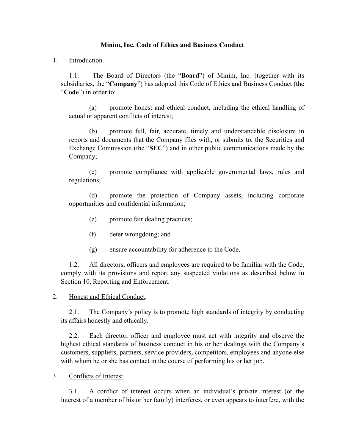# **Minim, Inc. Code of Ethics and Business Conduct**

## 1. Introduction.

1.1. The Board of Directors (the "**Board**") of Minim, Inc. (together with its subsidiaries, the "**Company**") has adopted this Code of Ethics and Business Conduct (the "**Code**") in order to:

(a) promote honest and ethical conduct, including the ethical handling of actual or apparent conflicts of interest;

(b) promote full, fair, accurate, timely and understandable disclosure in reports and documents that the Company files with, or submits to, the Securities and Exchange Commission (the "**SEC**") and in other public communications made by the Company;

(c) promote compliance with applicable governmental laws, rules and regulations;

(d) promote the protection of Company assets, including corporate opportunities and confidential information;

- (e) promote fair dealing practices;
- (f) deter wrongdoing; and
- (g) ensure accountability for adherence to the Code.

1.2. All directors, officers and employees are required to be familiar with the Code, comply with its provisions and report any suspected violations as described below in Section [10,](#page-3-0) Reporting and Enforcement.

2. Honest and Ethical Conduct.

2.1. The Company's policy is to promote high standards of integrity by conducting its affairs honestly and ethically.

2.2. Each director, officer and employee must act with integrity and observe the highest ethical standards of business conduct in his or her dealings with the Company's customers, suppliers, partners, service providers, competitors, employees and anyone else with whom he or she has contact in the course of performing his or her job.

3. Conflicts of Interest.

3.1. A conflict of interest occurs when an individual's private interest (or the interest of a member of his or her family) interferes, or even appears to interfere, with the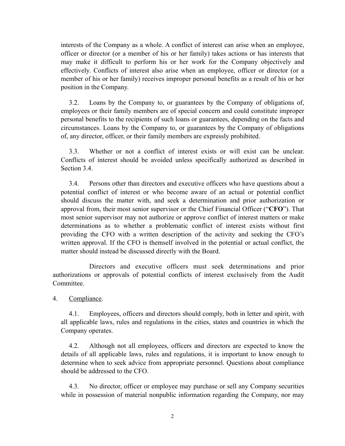interests of the Company as a whole. A conflict of interest can arise when an employee, officer or director (or a member of his or her family) takes actions or has interests that may make it difficult to perform his or her work for the Company objectively and effectively. Conflicts of interest also arise when an employee, officer or director (or a member of his or her family) receives improper personal benefits as a result of his or her position in the Company.

3.2. Loans by the Company to, or guarantees by the Company of obligations of, employees or their family members are of special concern and could constitute improper personal benefits to the recipients of such loans or guarantees, depending on the facts and circumstances. Loans by the Company to, or guarantees by the Company of obligations of, any director, officer, or their family members are expressly prohibited.

3.3. Whether or not a conflict of interest exists or will exist can be unclear. Conflicts of interest should be avoided unless specifically authorized as described in Section 3.4

<span id="page-1-0"></span>3.4. Persons other than directors and executive officers who have questions about a potential conflict of interest or who become aware of an actual or potential conflict should discuss the matter with, and seek a determination and prior authorization or approval from, their most senior supervisor or the Chief Financial Officer ("**CFO**"). That most senior supervisor may not authorize or approve conflict of interest matters or make determinations as to whether a problematic conflict of interest exists without first providing the CFO with a written description of the activity and seeking the CFO's written approval. If the CFO is themself involved in the potential or actual conflict, the matter should instead be discussed directly with the Board.

Directors and executive officers must seek determinations and prior authorizations or approvals of potential conflicts of interest exclusively from the Audit **Committee** 

4. Compliance.

4.1. Employees, officers and directors should comply, both in letter and spirit, with all applicable laws, rules and regulations in the cities, states and countries in which the Company operates.

4.2. Although not all employees, officers and directors are expected to know the details of all applicable laws, rules and regulations, it is important to know enough to determine when to seek advice from appropriate personnel. Questions about compliance should be addressed to the CFO.

4.3. No director, officer or employee may purchase or sell any Company securities while in possession of material nonpublic information regarding the Company, nor may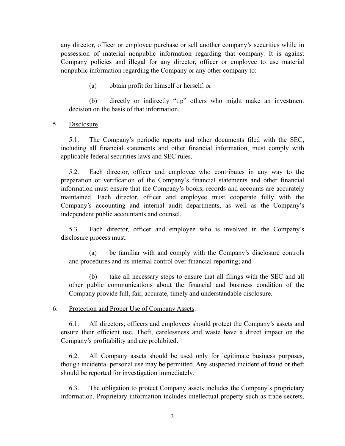any director, officer or employee purchase or sell another company's securities while in possession of material nonpublic information regarding that company. It is against Company policies and illegal for any director, officer or employee to use material nonpublic information regarding the Company or any other company to:

(a) obtain profit for himself or herself; or

(b) directly or indirectly "tip" others who might make an investment decision on the basis of that information.

5. Disclosure.

5.1. The Company's periodic reports and other documents filed with the SEC, including all financial statements and other financial information, must comply with applicable federal securities laws and SEC rules.

5.2. Each director, officer and employee who contributes in any way to the preparation or verification of the Company's financial statements and other financial information must ensure that the Company's books, records and accounts are accurately maintained. Each director, officer and employee must cooperate fully with the Company's accounting and internal audit departments, as well as the Company's independent public accountants and counsel.

5.3. Each director, officer and employee who is involved in the Company's disclosure process must:

(a) be familiar with and comply with the Company's disclosure controls and procedures and its internal control over financial reporting; and

(b) take all necessary steps to ensure that all filings with the SEC and all other public communications about the financial and business condition of the Company provide full, fair, accurate, timely and understandable disclosure.

6. Protection and Proper Use of Company Assets.

6.1. All directors, officers and employees should protect the Company's assets and ensure their efficient use. Theft, carelessness and waste have a direct impact on the Company's profitability and are prohibited.

6.2. All Company assets should be used only for legitimate business purposes, though incidental personal use may be permitted. Any suspected incident of fraud or theft should be reported for investigation immediately.

6.3. The obligation to protect Company assets includes the Company's proprietary information. Proprietary information includes intellectual property such as trade secrets,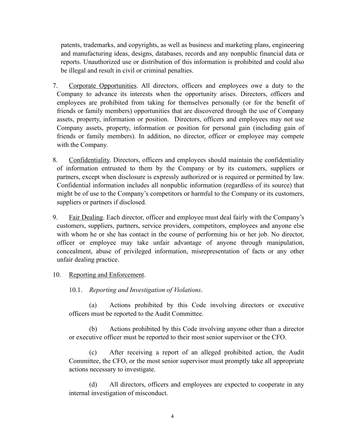patents, trademarks, and copyrights, as well as business and marketing plans, engineering and manufacturing ideas, designs, databases, records and any nonpublic financial data or reports. Unauthorized use or distribution of this information is prohibited and could also be illegal and result in civil or criminal penalties.

- 7. Corporate Opportunities. All directors, officers and employees owe a duty to the Company to advance its interests when the opportunity arises. Directors, officers and employees are prohibited from taking for themselves personally (or for the benefit of friends or family members) opportunities that are discovered through the use of Company assets, property, information or position. Directors, officers and employees may not use Company assets, property, information or position for personal gain (including gain of friends or family members). In addition, no director, officer or employee may compete with the Company.
- 8. Confidentiality. Directors, officers and employees should maintain the confidentiality of information entrusted to them by the Company or by its customers, suppliers or partners, except when disclosure is expressly authorized or is required or permitted by law. Confidential information includes all nonpublic information (regardless of its source) that might be of use to the Company's competitors or harmful to the Company or its customers, suppliers or partners if disclosed.
- 9. Fair Dealing. Each director, officer and employee must deal fairly with the Company's customers, suppliers, partners, service providers, competitors, employees and anyone else with whom he or she has contact in the course of performing his or her job. No director, officer or employee may take unfair advantage of anyone through manipulation, concealment, abuse of privileged information, misrepresentation of facts or any other unfair dealing practice.

### <span id="page-3-0"></span>10. Reporting and Enforcement.

10.1. *Reporting and Investigation of Violations*.

(a) Actions prohibited by this Code involving directors or executive officers must be reported to the Audit Committee.

(b) Actions prohibited by this Code involving anyone other than a director or executive officer must be reported to their most senior supervisor or the CFO.

(c) After receiving a report of an alleged prohibited action, the Audit Committee, the CFO, or the most senior supervisor must promptly take all appropriate actions necessary to investigate.

(d) All directors, officers and employees are expected to cooperate in any internal investigation of misconduct.